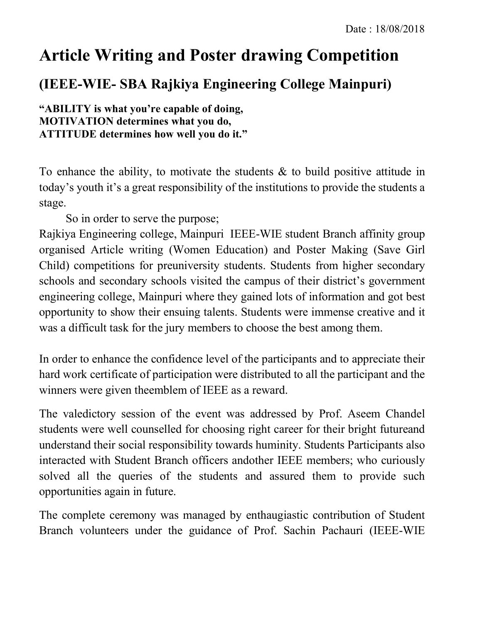## **Article Writing and Poster drawing Competition**

## **(IEEE-WIE- SBA Rajkiya Engineering College Mainpuri)**

**"ABILITY is what you're capable of doing, MOTIVATION determines what you do, ATTITUDE determines how well you do it."**

To enhance the ability, to motivate the students  $\&$  to build positive attitude in today's youth it's a great responsibility of the institutions to provide the students a stage.

So in order to serve the purpose;

Rajkiya Engineering college, Mainpuri IEEE-WIE student Branch affinity group organised Article writing (Women Education) and Poster Making (Save Girl Child) competitions for preuniversity students. Students from higher secondary schools and secondary schools visited the campus of their district's government engineering college, Mainpuri where they gained lots of information and got best opportunity to show their ensuing talents. Students were immense creative and it was a difficult task for the jury members to choose the best among them.

In order to enhance the confidence level of the participants and to appreciate their hard work certificate of participation were distributed to all the participant and the winners were given theemblem of IEEE as a reward.

The valedictory session of the event was addressed by Prof. Aseem Chandel students were well counselled for choosing right career for their bright futureand understand their social responsibility towards huminity. Students Participants also interacted with Student Branch officers andother IEEE members; who curiously solved all the queries of the students and assured them to provide such opportunities again in future.

The complete ceremony was managed by enthaugiastic contribution of Student Branch volunteers under the guidance of Prof. Sachin Pachauri (IEEE-WIE